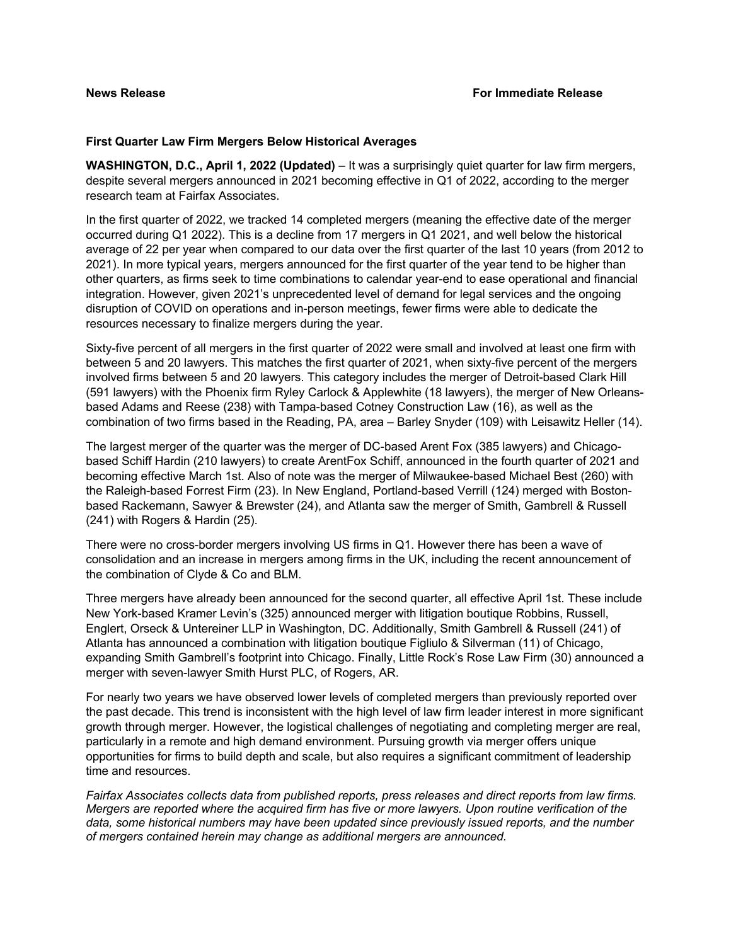### **First Quarter Law Firm Mergers Below Historical Averages**

**WASHINGTON, D.C., April 1, 2022 (Updated)** – It was a surprisingly quiet quarter for law firm mergers, despite several mergers announced in 2021 becoming effective in Q1 of 2022, according to the merger research team at Fairfax Associates.

In the first quarter of 2022, we tracked 14 completed mergers (meaning the effective date of the merger occurred during Q1 2022). This is a decline from 17 mergers in Q1 2021, and well below the historical average of 22 per year when compared to our data over the first quarter of the last 10 years (from 2012 to 2021). In more typical years, mergers announced for the first quarter of the year tend to be higher than other quarters, as firms seek to time combinations to calendar year-end to ease operational and financial integration. However, given 2021's unprecedented level of demand for legal services and the ongoing disruption of COVID on operations and in-person meetings, fewer firms were able to dedicate the resources necessary to finalize mergers during the year.

Sixty-five percent of all mergers in the first quarter of 2022 were small and involved at least one firm with between 5 and 20 lawyers. This matches the first quarter of 2021, when sixty-five percent of the mergers involved firms between 5 and 20 lawyers. This category includes the merger of Detroit-based Clark Hill (591 lawyers) with the Phoenix firm Ryley Carlock & Applewhite (18 lawyers), the merger of New Orleansbased Adams and Reese (238) with Tampa-based Cotney Construction Law (16), as well as the combination of two firms based in the Reading, PA, area – Barley Snyder (109) with Leisawitz Heller (14).

The largest merger of the quarter was the merger of DC-based Arent Fox (385 lawyers) and Chicagobased Schiff Hardin (210 lawyers) to create ArentFox Schiff, announced in the fourth quarter of 2021 and becoming effective March 1st. Also of note was the merger of Milwaukee-based Michael Best (260) with the Raleigh-based Forrest Firm (23). In New England, Portland-based Verrill (124) merged with Bostonbased Rackemann, Sawyer & Brewster (24), and Atlanta saw the merger of Smith, Gambrell & Russell (241) with Rogers & Hardin (25).

There were no cross-border mergers involving US firms in Q1. However there has been a wave of consolidation and an increase in mergers among firms in the UK, including the recent announcement of the combination of Clyde & Co and BLM.

Three mergers have already been announced for the second quarter, all effective April 1st. These include New York-based Kramer Levin's (325) announced merger with litigation boutique Robbins, Russell, Englert, Orseck & Untereiner LLP in Washington, DC. Additionally, Smith Gambrell & Russell (241) of Atlanta has announced a combination with litigation boutique Figliulo & Silverman (11) of Chicago, expanding Smith Gambrell's footprint into Chicago. Finally, Little Rock's Rose Law Firm (30) announced a merger with seven-lawyer Smith Hurst PLC, of Rogers, AR.

For nearly two years we have observed lower levels of completed mergers than previously reported over the past decade. This trend is inconsistent with the high level of law firm leader interest in more significant growth through merger. However, the logistical challenges of negotiating and completing merger are real, particularly in a remote and high demand environment. Pursuing growth via merger offers unique opportunities for firms to build depth and scale, but also requires a significant commitment of leadership time and resources.

*Fairfax Associates collects data from published reports, press releases and direct reports from law firms. Mergers are reported where the acquired firm has five or more lawyers. Upon routine verification of the data, some historical numbers may have been updated since previously issued reports, and the number of mergers contained herein may change as additional mergers are announced.*